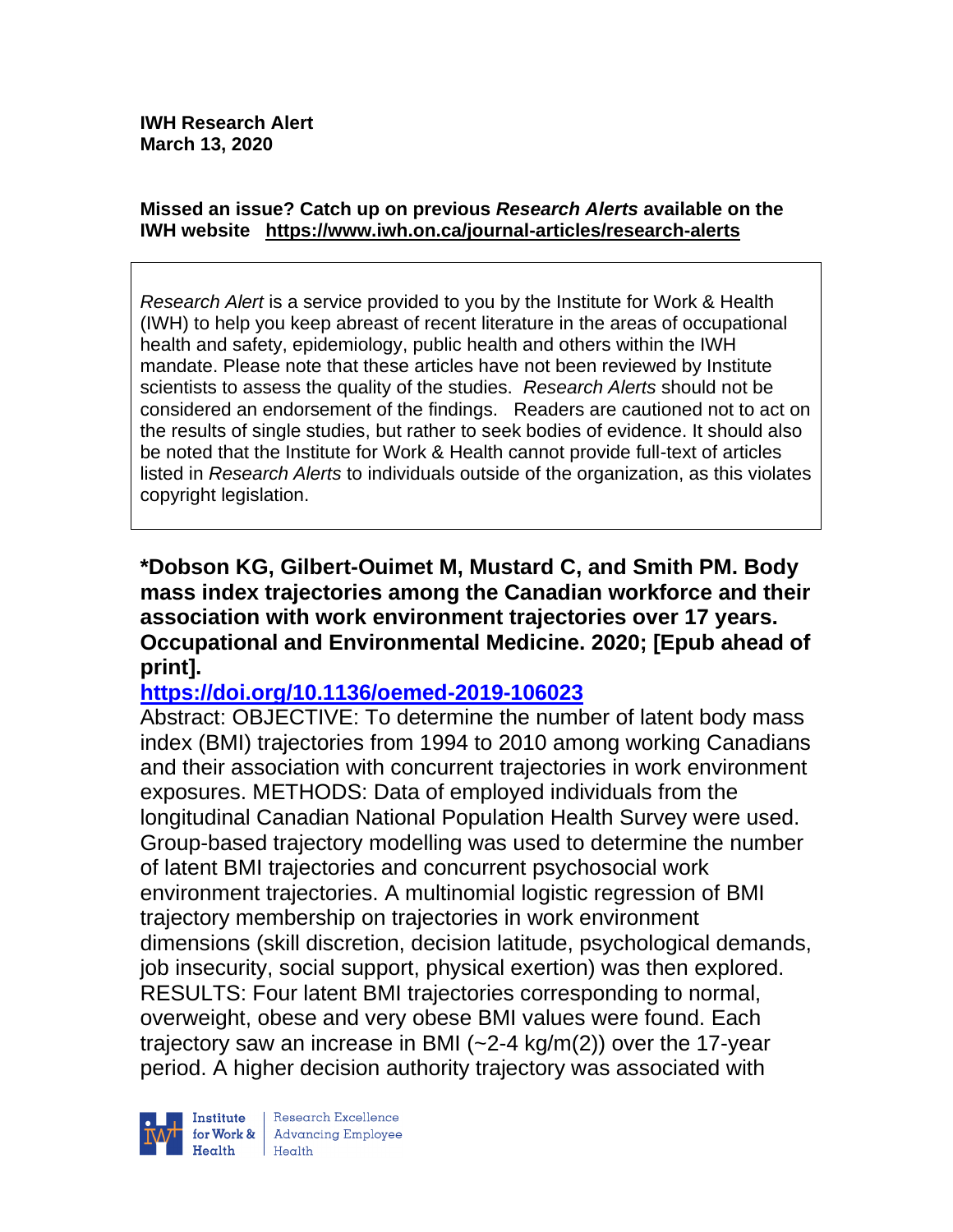#### **Missed an issue? Catch up on previous** *Research Alerts* **available on the [IWH website](http://www.iwh.on.ca/research-alerts) <https://www.iwh.on.ca/journal-articles/research-alerts>**

*Research Alert* is a service provided to you by the Institute for Work & Health (IWH) to help you keep abreast of recent literature in the areas of occupational health and safety, epidemiology, public health and others within the IWH mandate. Please note that these articles have not been reviewed by Institute scientists to assess the quality of the studies. *Research Alerts* should not be considered an endorsement of the findings. Readers are cautioned not to act on the results of single studies, but rather to seek bodies of evidence. It should also be noted that the Institute for Work & Health cannot provide full-text of articles listed in *Research Alerts* to individuals outside of the organization, as this violates copyright legislation.

**\*Dobson KG, Gilbert-Ouimet M, Mustard C, and Smith PM. Body mass index trajectories among the Canadian workforce and their association with work environment trajectories over 17 years. Occupational and Environmental Medicine. 2020; [Epub ahead of print].**

## **<https://doi.org/10.1136/oemed-2019-106023>**

Abstract: OBJECTIVE: To determine the number of latent body mass index (BMI) trajectories from 1994 to 2010 among working Canadians and their association with concurrent trajectories in work environment exposures. METHODS: Data of employed individuals from the longitudinal Canadian National Population Health Survey were used. Group-based trajectory modelling was used to determine the number of latent BMI trajectories and concurrent psychosocial work environment trajectories. A multinomial logistic regression of BMI trajectory membership on trajectories in work environment dimensions (skill discretion, decision latitude, psychological demands, job insecurity, social support, physical exertion) was then explored. RESULTS: Four latent BMI trajectories corresponding to normal, overweight, obese and very obese BMI values were found. Each trajectory saw an increase in BMI  $(-2-4 \text{ kg/m}(2))$  over the 17-year period. A higher decision authority trajectory was associated with

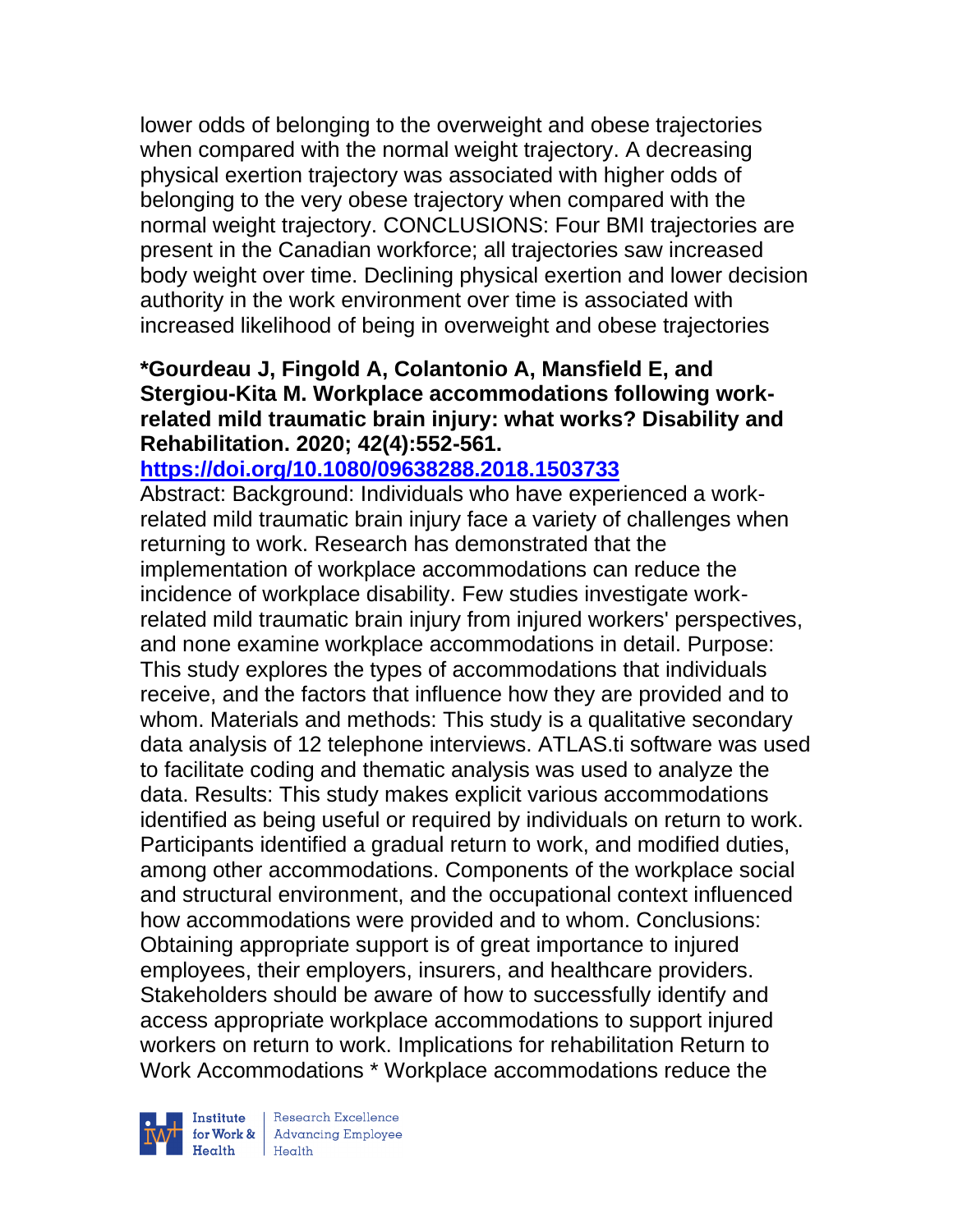lower odds of belonging to the overweight and obese trajectories when compared with the normal weight trajectory. A decreasing physical exertion trajectory was associated with higher odds of belonging to the very obese trajectory when compared with the normal weight trajectory. CONCLUSIONS: Four BMI trajectories are present in the Canadian workforce; all trajectories saw increased body weight over time. Declining physical exertion and lower decision authority in the work environment over time is associated with increased likelihood of being in overweight and obese trajectories

# **\*Gourdeau J, Fingold A, Colantonio A, Mansfield E, and Stergiou-Kita M. Workplace accommodations following workrelated mild traumatic brain injury: what works? Disability and Rehabilitation. 2020; 42(4):552-561.**

**<https://doi.org/10.1080/09638288.2018.1503733>** 

Abstract: Background: Individuals who have experienced a workrelated mild traumatic brain injury face a variety of challenges when returning to work. Research has demonstrated that the implementation of workplace accommodations can reduce the incidence of workplace disability. Few studies investigate workrelated mild traumatic brain injury from injured workers' perspectives, and none examine workplace accommodations in detail. Purpose: This study explores the types of accommodations that individuals receive, and the factors that influence how they are provided and to whom. Materials and methods: This study is a qualitative secondary data analysis of 12 telephone interviews. ATLAS.ti software was used to facilitate coding and thematic analysis was used to analyze the data. Results: This study makes explicit various accommodations identified as being useful or required by individuals on return to work. Participants identified a gradual return to work, and modified duties, among other accommodations. Components of the workplace social and structural environment, and the occupational context influenced how accommodations were provided and to whom. Conclusions: Obtaining appropriate support is of great importance to injured employees, their employers, insurers, and healthcare providers. Stakeholders should be aware of how to successfully identify and access appropriate workplace accommodations to support injured workers on return to work. Implications for rehabilitation Return to Work Accommodations \* Workplace accommodations reduce the

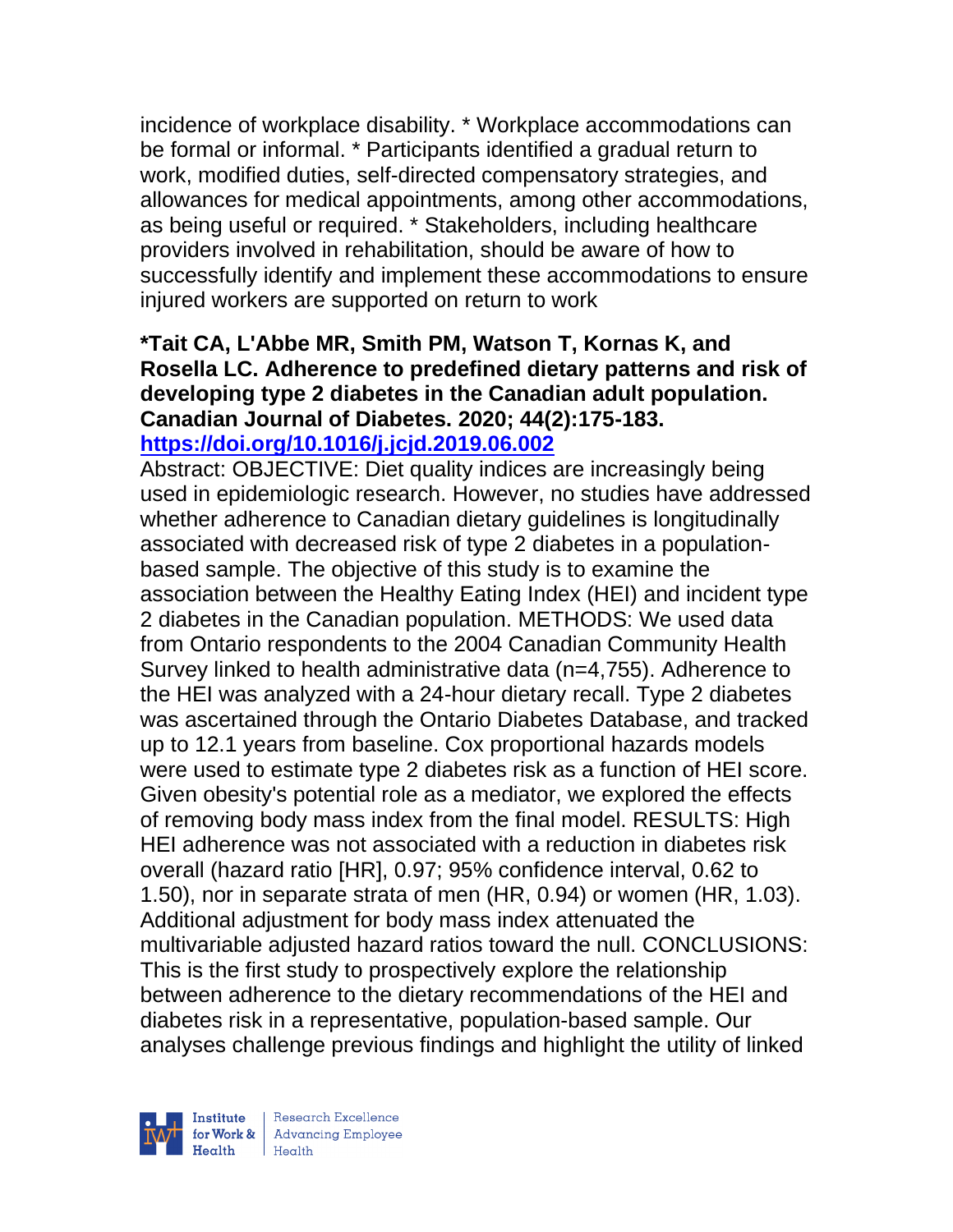incidence of workplace disability. \* Workplace accommodations can be formal or informal. \* Participants identified a gradual return to work, modified duties, self-directed compensatory strategies, and allowances for medical appointments, among other accommodations, as being useful or required. \* Stakeholders, including healthcare providers involved in rehabilitation, should be aware of how to successfully identify and implement these accommodations to ensure injured workers are supported on return to work

# **\*Tait CA, L'Abbe MR, Smith PM, Watson T, Kornas K, and Rosella LC. Adherence to predefined dietary patterns and risk of developing type 2 diabetes in the Canadian adult population. Canadian Journal of Diabetes. 2020; 44(2):175-183. <https://doi.org/10.1016/j.jcjd.2019.06.002>**

Abstract: OBJECTIVE: Diet quality indices are increasingly being used in epidemiologic research. However, no studies have addressed whether adherence to Canadian dietary guidelines is longitudinally associated with decreased risk of type 2 diabetes in a populationbased sample. The objective of this study is to examine the association between the Healthy Eating Index (HEI) and incident type 2 diabetes in the Canadian population. METHODS: We used data from Ontario respondents to the 2004 Canadian Community Health Survey linked to health administrative data (n=4,755). Adherence to the HEI was analyzed with a 24-hour dietary recall. Type 2 diabetes was ascertained through the Ontario Diabetes Database, and tracked up to 12.1 years from baseline. Cox proportional hazards models were used to estimate type 2 diabetes risk as a function of HEI score. Given obesity's potential role as a mediator, we explored the effects of removing body mass index from the final model. RESULTS: High HEI adherence was not associated with a reduction in diabetes risk overall (hazard ratio [HR], 0.97; 95% confidence interval, 0.62 to 1.50), nor in separate strata of men (HR, 0.94) or women (HR, 1.03). Additional adjustment for body mass index attenuated the multivariable adjusted hazard ratios toward the null. CONCLUSIONS: This is the first study to prospectively explore the relationship between adherence to the dietary recommendations of the HEI and diabetes risk in a representative, population-based sample. Our analyses challenge previous findings and highlight the utility of linked

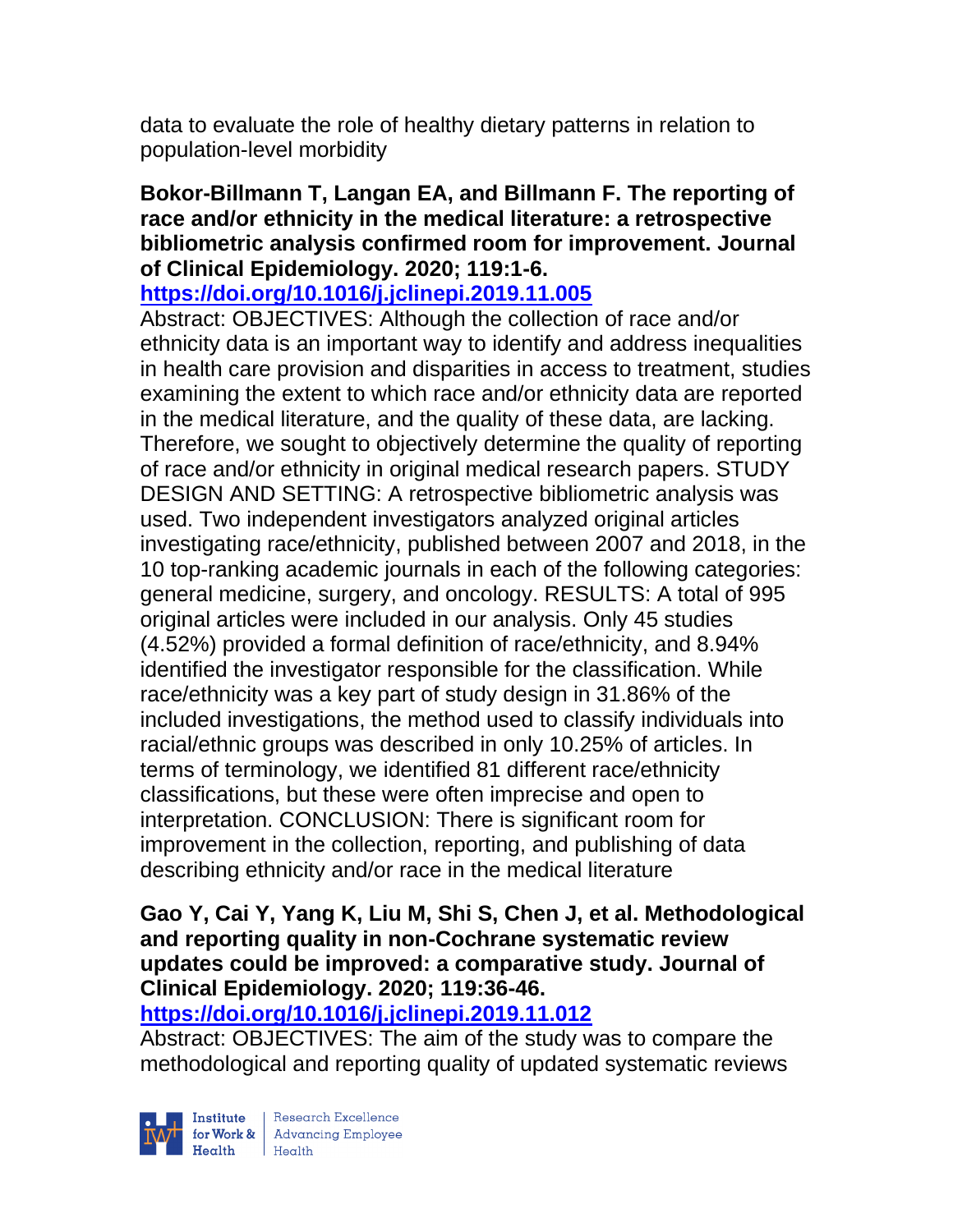data to evaluate the role of healthy dietary patterns in relation to population-level morbidity

## **Bokor-Billmann T, Langan EA, and Billmann F. The reporting of race and/or ethnicity in the medical literature: a retrospective bibliometric analysis confirmed room for improvement. Journal of Clinical Epidemiology. 2020; 119:1-6.**

# **<https://doi.org/10.1016/j.jclinepi.2019.11.005>**

Abstract: OBJECTIVES: Although the collection of race and/or ethnicity data is an important way to identify and address inequalities in health care provision and disparities in access to treatment, studies examining the extent to which race and/or ethnicity data are reported in the medical literature, and the quality of these data, are lacking. Therefore, we sought to objectively determine the quality of reporting of race and/or ethnicity in original medical research papers. STUDY DESIGN AND SETTING: A retrospective bibliometric analysis was used. Two independent investigators analyzed original articles investigating race/ethnicity, published between 2007 and 2018, in the 10 top-ranking academic journals in each of the following categories: general medicine, surgery, and oncology. RESULTS: A total of 995 original articles were included in our analysis. Only 45 studies (4.52%) provided a formal definition of race/ethnicity, and 8.94% identified the investigator responsible for the classification. While race/ethnicity was a key part of study design in 31.86% of the included investigations, the method used to classify individuals into racial/ethnic groups was described in only 10.25% of articles. In terms of terminology, we identified 81 different race/ethnicity classifications, but these were often imprecise and open to interpretation. CONCLUSION: There is significant room for improvement in the collection, reporting, and publishing of data describing ethnicity and/or race in the medical literature

### **Gao Y, Cai Y, Yang K, Liu M, Shi S, Chen J, et al. Methodological and reporting quality in non-Cochrane systematic review updates could be improved: a comparative study. Journal of Clinical Epidemiology. 2020; 119:36-46.**

**<https://doi.org/10.1016/j.jclinepi.2019.11.012>** 

Abstract: OBJECTIVES: The aim of the study was to compare the methodological and reporting quality of updated systematic reviews



| Research Excellence Finantium Research Excellence<br>
Finantium Research Employee<br>
Realth Health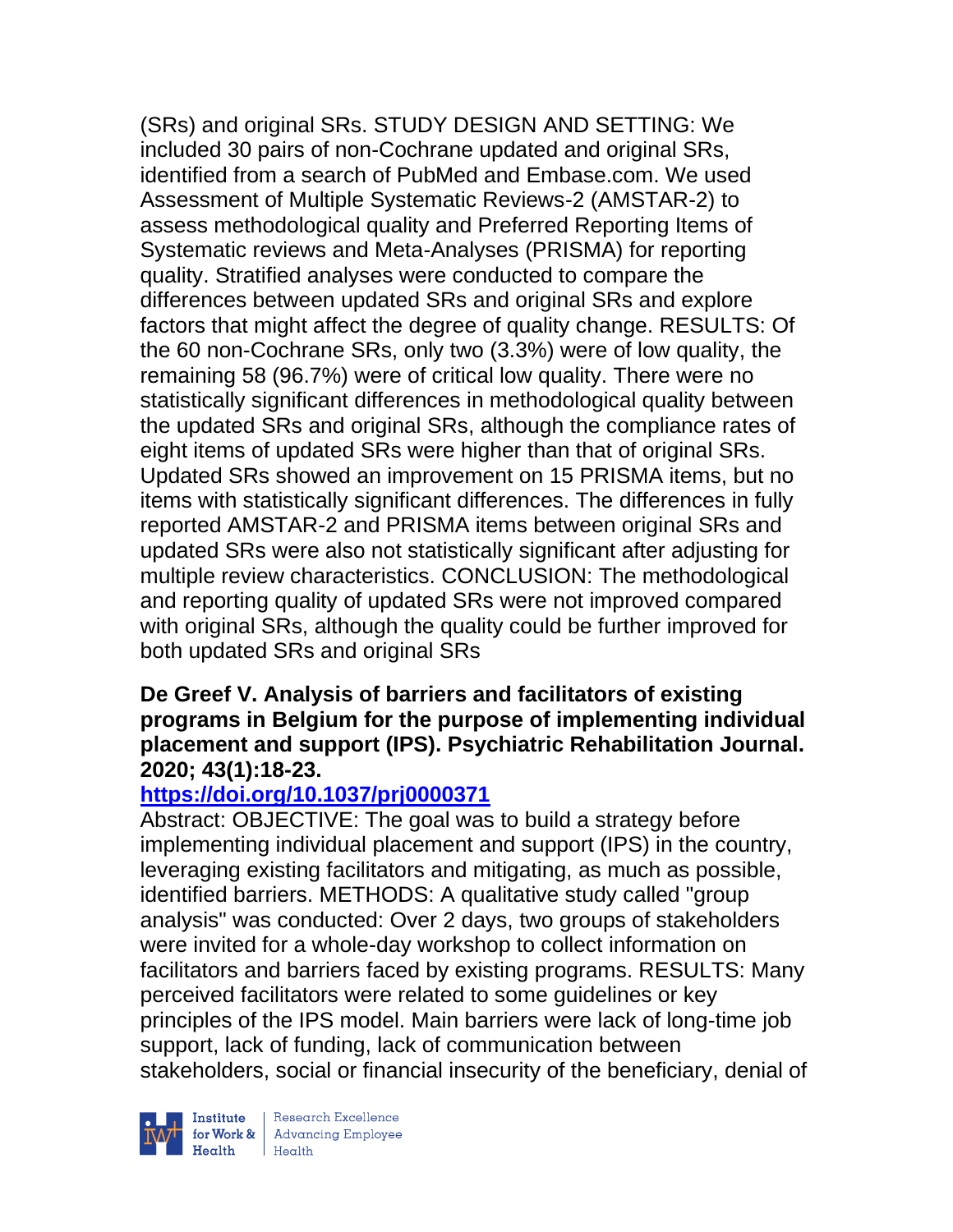(SRs) and original SRs. STUDY DESIGN AND SETTING: We included 30 pairs of non-Cochrane updated and original SRs, identified from a search of PubMed and Embase.com. We used Assessment of Multiple Systematic Reviews-2 (AMSTAR-2) to assess methodological quality and Preferred Reporting Items of Systematic reviews and Meta-Analyses (PRISMA) for reporting quality. Stratified analyses were conducted to compare the differences between updated SRs and original SRs and explore factors that might affect the degree of quality change. RESULTS: Of the 60 non-Cochrane SRs, only two (3.3%) were of low quality, the remaining 58 (96.7%) were of critical low quality. There were no statistically significant differences in methodological quality between the updated SRs and original SRs, although the compliance rates of eight items of updated SRs were higher than that of original SRs. Updated SRs showed an improvement on 15 PRISMA items, but no items with statistically significant differences. The differences in fully reported AMSTAR-2 and PRISMA items between original SRs and updated SRs were also not statistically significant after adjusting for multiple review characteristics. CONCLUSION: The methodological and reporting quality of updated SRs were not improved compared with original SRs, although the quality could be further improved for both updated SRs and original SRs

#### **De Greef V. Analysis of barriers and facilitators of existing programs in Belgium for the purpose of implementing individual placement and support (IPS). Psychiatric Rehabilitation Journal. 2020; 43(1):18-23.**

# **<https://doi.org/10.1037/prj0000371>**

Abstract: OBJECTIVE: The goal was to build a strategy before implementing individual placement and support (IPS) in the country, leveraging existing facilitators and mitigating, as much as possible, identified barriers. METHODS: A qualitative study called "group analysis" was conducted: Over 2 days, two groups of stakeholders were invited for a whole-day workshop to collect information on facilitators and barriers faced by existing programs. RESULTS: Many perceived facilitators were related to some guidelines or key principles of the IPS model. Main barriers were lack of long-time job support, lack of funding, lack of communication between stakeholders, social or financial insecurity of the beneficiary, denial of



 $\begin{tabular}{|l|} Institute & Research Excellence \\ \hline for Work & Advancing Employee \\ Health & Health \\ \end{tabular}$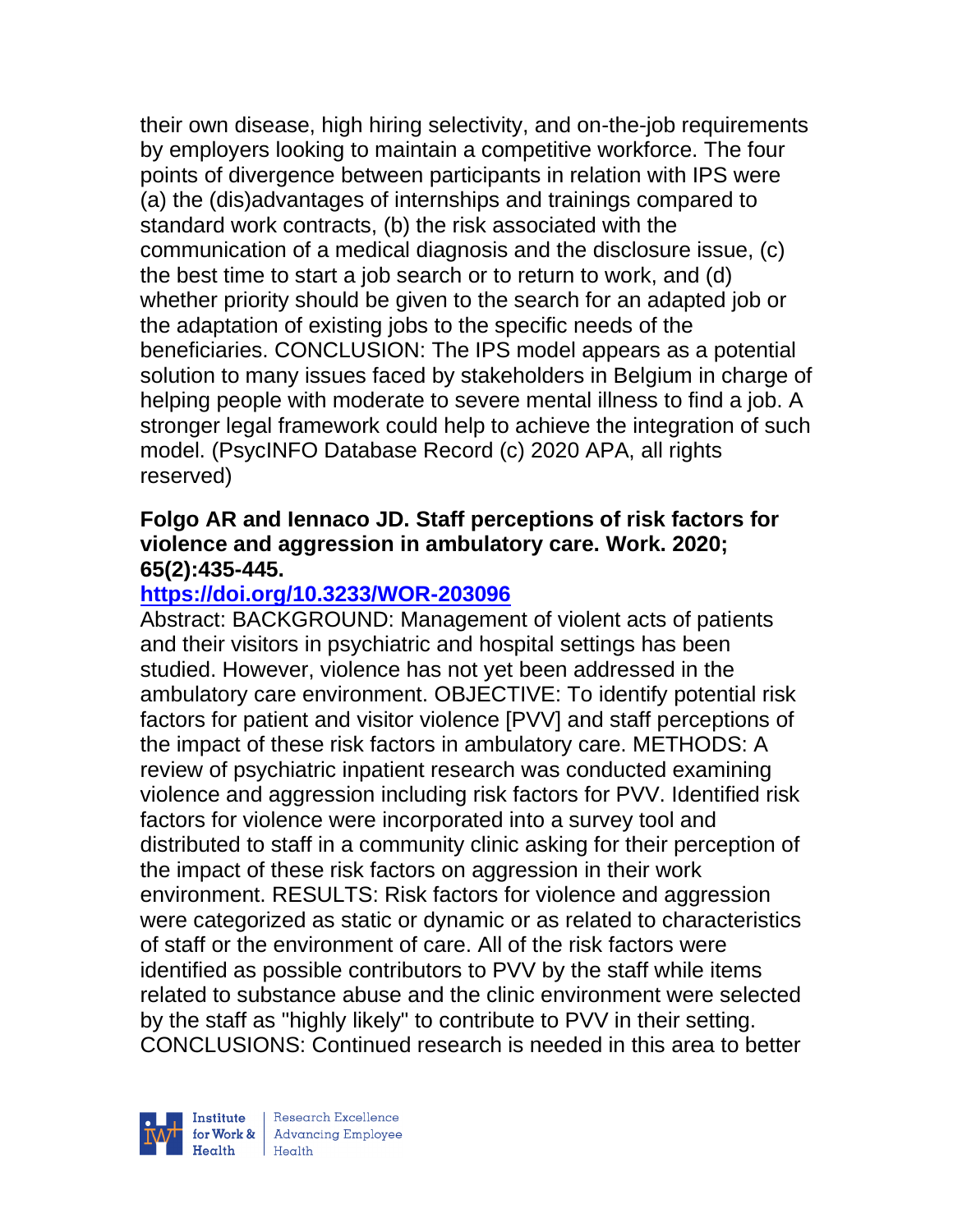their own disease, high hiring selectivity, and on-the-job requirements by employers looking to maintain a competitive workforce. The four points of divergence between participants in relation with IPS were (a) the (dis)advantages of internships and trainings compared to standard work contracts, (b) the risk associated with the communication of a medical diagnosis and the disclosure issue, (c) the best time to start a job search or to return to work, and (d) whether priority should be given to the search for an adapted job or the adaptation of existing jobs to the specific needs of the beneficiaries. CONCLUSION: The IPS model appears as a potential solution to many issues faced by stakeholders in Belgium in charge of helping people with moderate to severe mental illness to find a job. A stronger legal framework could help to achieve the integration of such model. (PsycINFO Database Record (c) 2020 APA, all rights reserved)

## **Folgo AR and Iennaco JD. Staff perceptions of risk factors for violence and aggression in ambulatory care. Work. 2020; 65(2):435-445.**

# **<https://doi.org/10.3233/WOR-203096>**

Abstract: BACKGROUND: Management of violent acts of patients and their visitors in psychiatric and hospital settings has been studied. However, violence has not yet been addressed in the ambulatory care environment. OBJECTIVE: To identify potential risk factors for patient and visitor violence [PVV] and staff perceptions of the impact of these risk factors in ambulatory care. METHODS: A review of psychiatric inpatient research was conducted examining violence and aggression including risk factors for PVV. Identified risk factors for violence were incorporated into a survey tool and distributed to staff in a community clinic asking for their perception of the impact of these risk factors on aggression in their work environment. RESULTS: Risk factors for violence and aggression were categorized as static or dynamic or as related to characteristics of staff or the environment of care. All of the risk factors were identified as possible contributors to PVV by the staff while items related to substance abuse and the clinic environment were selected by the staff as "highly likely" to contribute to PVV in their setting. CONCLUSIONS: Continued research is needed in this area to better

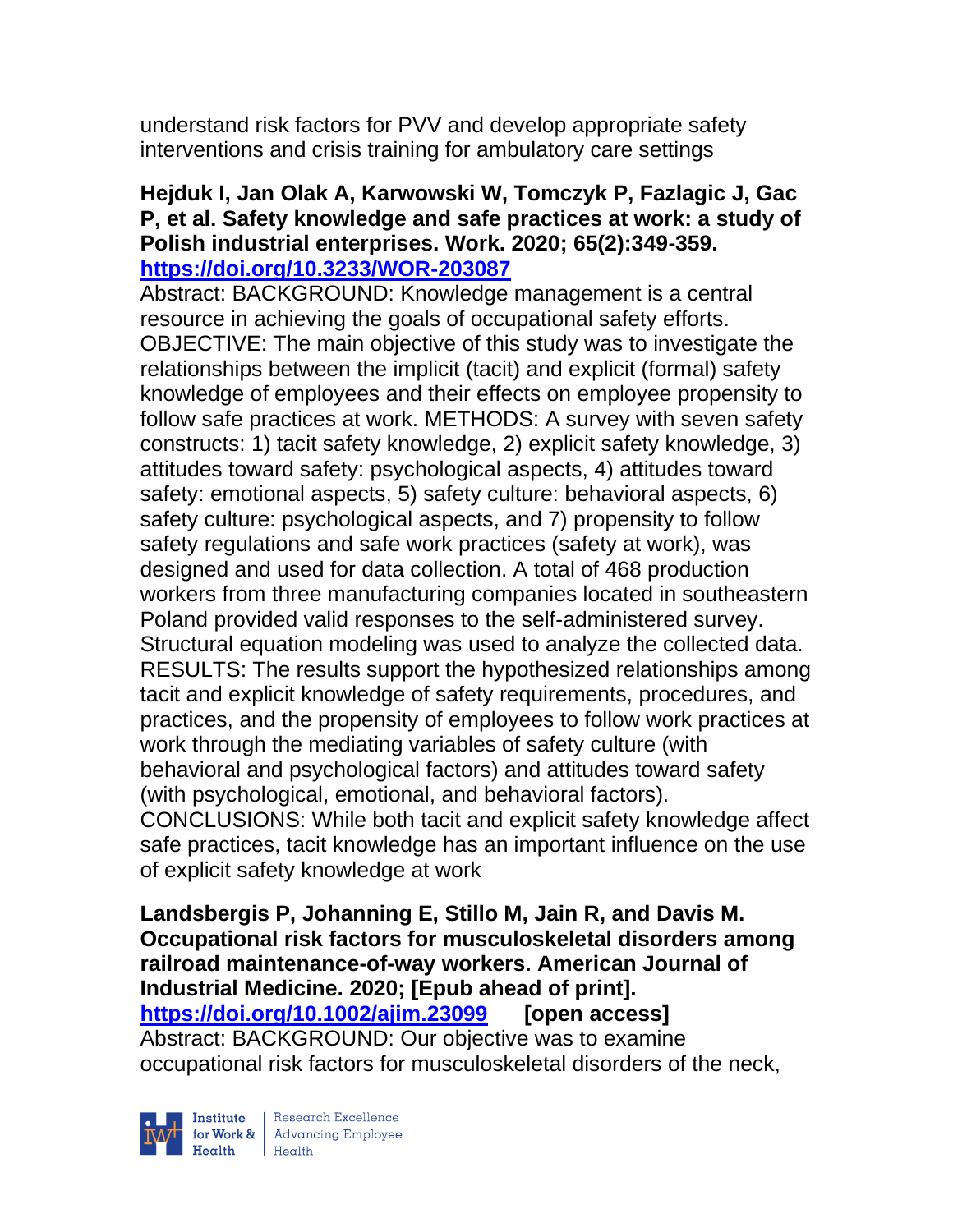understand risk factors for PVV and develop appropriate safety interventions and crisis training for ambulatory care settings

## **Hejduk I, Jan Olak A, Karwowski W, Tomczyk P, Fazlagic J, Gac P, et al. Safety knowledge and safe practices at work: a study of Polish industrial enterprises. Work. 2020; 65(2):349-359. <https://doi.org/10.3233/WOR-203087>**

Abstract: BACKGROUND: Knowledge management is a central resource in achieving the goals of occupational safety efforts. OBJECTIVE: The main objective of this study was to investigate the relationships between the implicit (tacit) and explicit (formal) safety knowledge of employees and their effects on employee propensity to follow safe practices at work. METHODS: A survey with seven safety constructs: 1) tacit safety knowledge, 2) explicit safety knowledge, 3) attitudes toward safety: psychological aspects, 4) attitudes toward safety: emotional aspects, 5) safety culture: behavioral aspects, 6) safety culture: psychological aspects, and 7) propensity to follow safety regulations and safe work practices (safety at work), was designed and used for data collection. A total of 468 production workers from three manufacturing companies located in southeastern Poland provided valid responses to the self-administered survey. Structural equation modeling was used to analyze the collected data. RESULTS: The results support the hypothesized relationships among tacit and explicit knowledge of safety requirements, procedures, and practices, and the propensity of employees to follow work practices at work through the mediating variables of safety culture (with behavioral and psychological factors) and attitudes toward safety (with psychological, emotional, and behavioral factors). CONCLUSIONS: While both tacit and explicit safety knowledge affect safe practices, tacit knowledge has an important influence on the use of explicit safety knowledge at work

**Landsbergis P, Johanning E, Stillo M, Jain R, and Davis M. Occupational risk factors for musculoskeletal disorders among railroad maintenance-of-way workers. American Journal of Industrial Medicine. 2020; [Epub ahead of print]. <https://doi.org/10.1002/ajim.23099> [open access]** Abstract: BACKGROUND: Our objective was to examine occupational risk factors for musculoskeletal disorders of the neck,



| Research Excellence for Work & Advancing Employee<br>
Health Health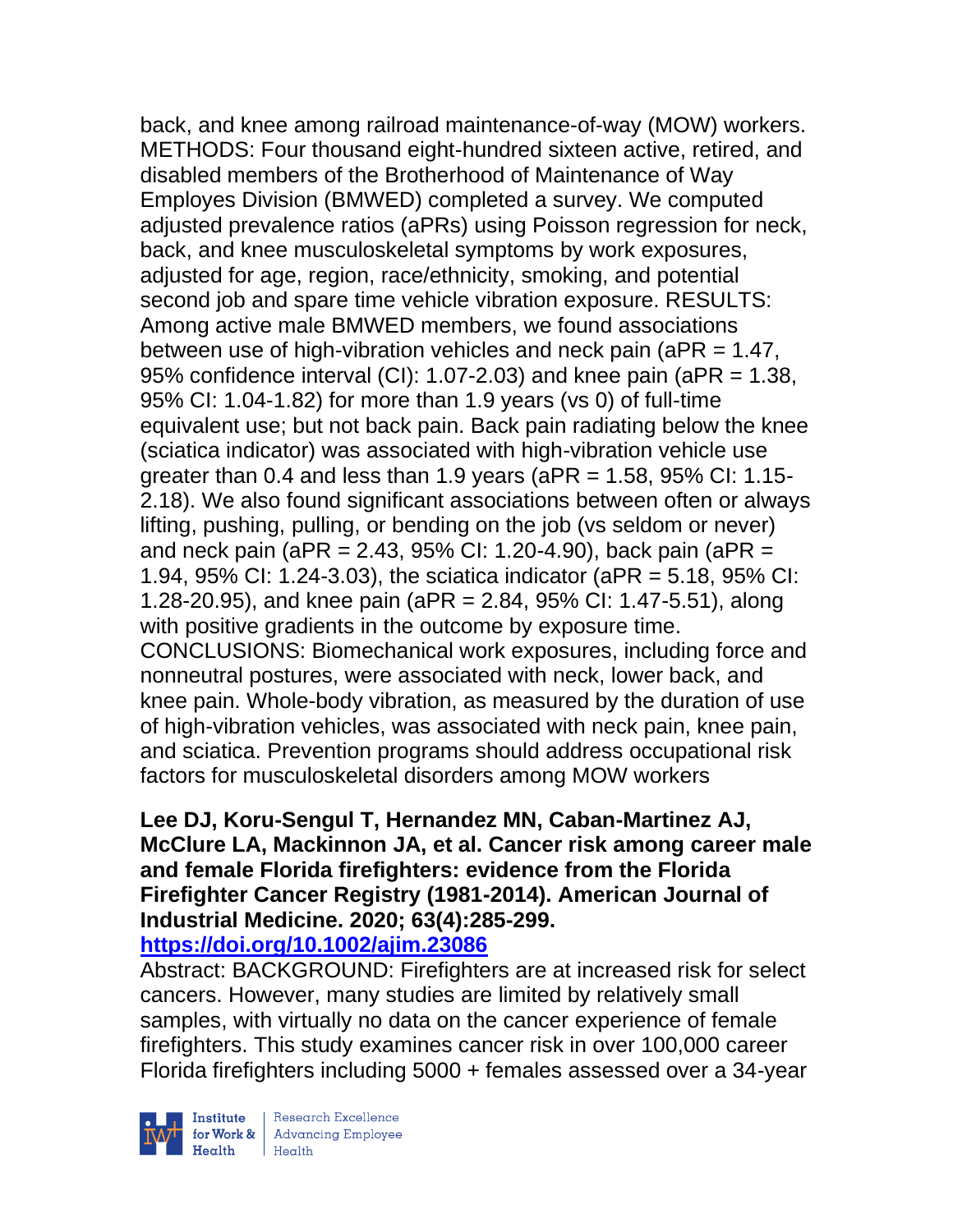back, and knee among railroad maintenance-of-way (MOW) workers. METHODS: Four thousand eight-hundred sixteen active, retired, and disabled members of the Brotherhood of Maintenance of Way Employes Division (BMWED) completed a survey. We computed adjusted prevalence ratios (aPRs) using Poisson regression for neck, back, and knee musculoskeletal symptoms by work exposures, adjusted for age, region, race/ethnicity, smoking, and potential second job and spare time vehicle vibration exposure. RESULTS: Among active male BMWED members, we found associations between use of high-vibration vehicles and neck pain (aPR = 1.47, 95% confidence interval (CI): 1.07-2.03) and knee pain (aPR = 1.38, 95% CI: 1.04-1.82) for more than 1.9 years (vs 0) of full-time equivalent use; but not back pain. Back pain radiating below the knee (sciatica indicator) was associated with high-vibration vehicle use greater than 0.4 and less than 1.9 years ( $aPR = 1.58$ ,  $95\%$  CI: 1.15-2.18). We also found significant associations between often or always lifting, pushing, pulling, or bending on the job (vs seldom or never) and neck pain (aPR = 2.43, 95% CI: 1.20-4.90), back pain (aPR = 1.94, 95% CI: 1.24-3.03), the sciatica indicator (aPR = 5.18, 95% CI: 1.28-20.95), and knee pain (aPR = 2.84, 95% CI: 1.47-5.51), along with positive gradients in the outcome by exposure time. CONCLUSIONS: Biomechanical work exposures, including force and nonneutral postures, were associated with neck, lower back, and knee pain. Whole-body vibration, as measured by the duration of use of high-vibration vehicles, was associated with neck pain, knee pain, and sciatica. Prevention programs should address occupational risk factors for musculoskeletal disorders among MOW workers

### **Lee DJ, Koru-Sengul T, Hernandez MN, Caban-Martinez AJ, McClure LA, Mackinnon JA, et al. Cancer risk among career male and female Florida firefighters: evidence from the Florida Firefighter Cancer Registry (1981-2014). American Journal of Industrial Medicine. 2020; 63(4):285-299. <https://doi.org/10.1002/ajim.23086>**

Abstract: BACKGROUND: Firefighters are at increased risk for select cancers. However, many studies are limited by relatively small samples, with virtually no data on the cancer experience of female firefighters. This study examines cancer risk in over 100,000 career Florida firefighters including 5000 + females assessed over a 34-year



 $\begin{tabular}{|l|} Institute & Research Excellence \\ \hline for Work & Advancing Employee \\ Health & Health \\ \end{tabular}$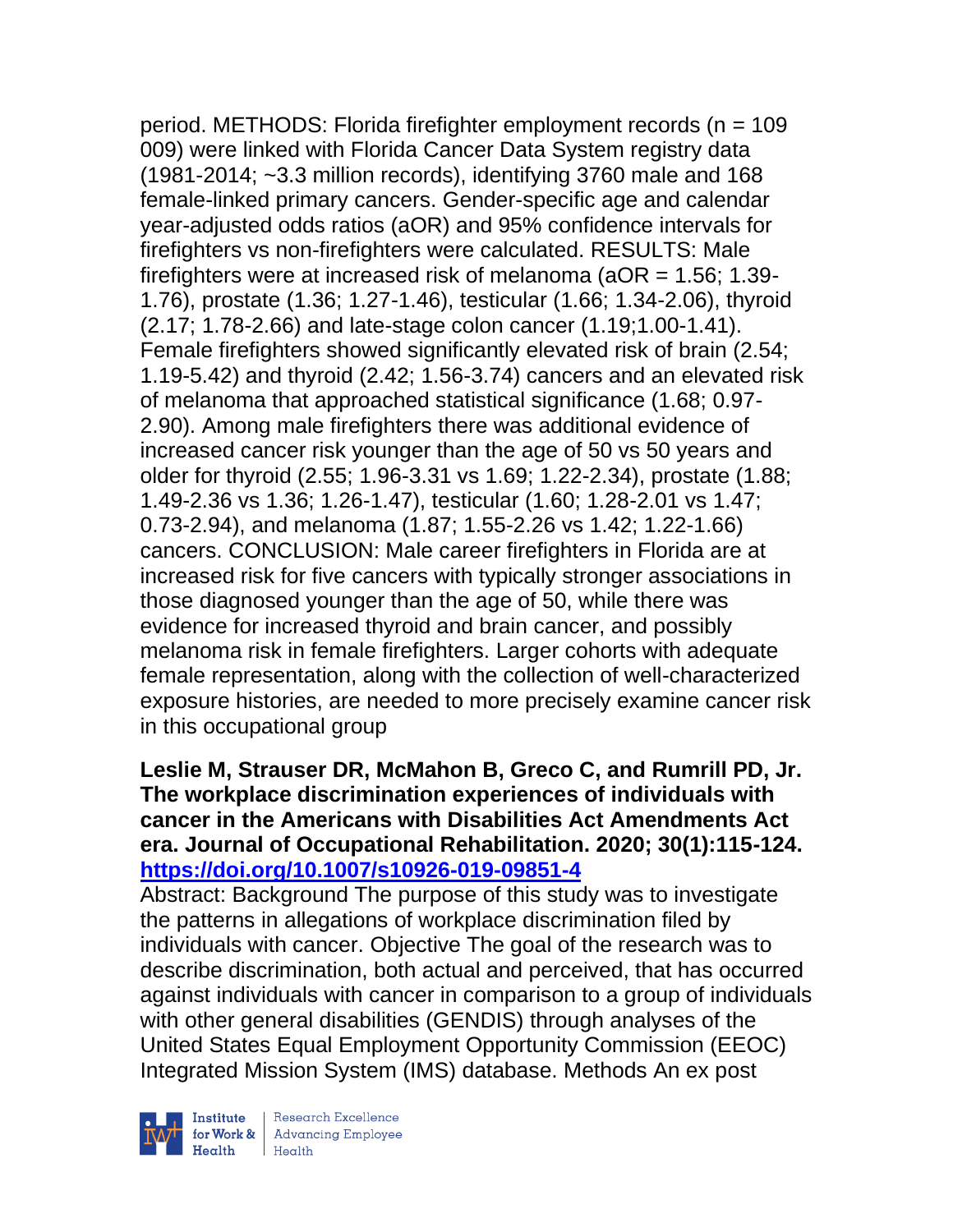period. METHODS: Florida firefighter employment records (n = 109 009) were linked with Florida Cancer Data System registry data (1981-2014; ~3.3 million records), identifying 3760 male and 168 female-linked primary cancers. Gender-specific age and calendar year-adjusted odds ratios (aOR) and 95% confidence intervals for firefighters vs non-firefighters were calculated. RESULTS: Male firefighters were at increased risk of melanoma ( $aOR = 1.56$ ; 1.39-1.76), prostate (1.36; 1.27-1.46), testicular (1.66; 1.34-2.06), thyroid (2.17; 1.78-2.66) and late-stage colon cancer (1.19;1.00-1.41). Female firefighters showed significantly elevated risk of brain (2.54; 1.19-5.42) and thyroid (2.42; 1.56-3.74) cancers and an elevated risk of melanoma that approached statistical significance (1.68; 0.97- 2.90). Among male firefighters there was additional evidence of increased cancer risk younger than the age of 50 vs 50 years and older for thyroid (2.55; 1.96-3.31 vs 1.69; 1.22-2.34), prostate (1.88; 1.49-2.36 vs 1.36; 1.26-1.47), testicular (1.60; 1.28-2.01 vs 1.47; 0.73-2.94), and melanoma (1.87; 1.55-2.26 vs 1.42; 1.22-1.66) cancers. CONCLUSION: Male career firefighters in Florida are at increased risk for five cancers with typically stronger associations in those diagnosed younger than the age of 50, while there was evidence for increased thyroid and brain cancer, and possibly melanoma risk in female firefighters. Larger cohorts with adequate female representation, along with the collection of well-characterized exposure histories, are needed to more precisely examine cancer risk in this occupational group

## **Leslie M, Strauser DR, McMahon B, Greco C, and Rumrill PD, Jr. The workplace discrimination experiences of individuals with cancer in the Americans with Disabilities Act Amendments Act era. Journal of Occupational Rehabilitation. 2020; 30(1):115-124. <https://doi.org/10.1007/s10926-019-09851-4>**

Abstract: Background The purpose of this study was to investigate the patterns in allegations of workplace discrimination filed by individuals with cancer. Objective The goal of the research was to describe discrimination, both actual and perceived, that has occurred against individuals with cancer in comparison to a group of individuals with other general disabilities (GENDIS) through analyses of the United States Equal Employment Opportunity Commission (EEOC) Integrated Mission System (IMS) database. Methods An ex post



Institute Research Excellence<br>
for Work & Advancing Employee<br>
Health Health Health Health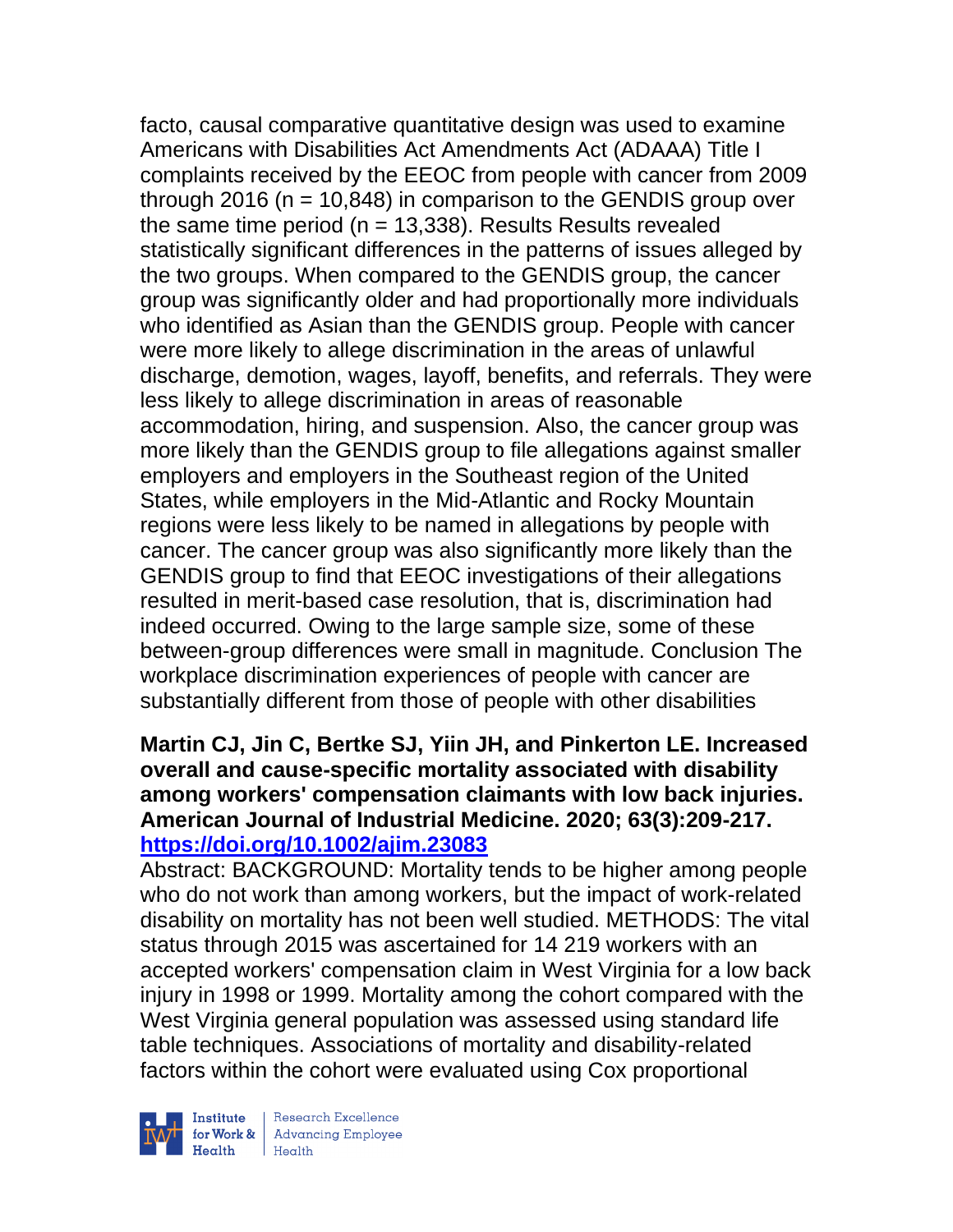facto, causal comparative quantitative design was used to examine Americans with Disabilities Act Amendments Act (ADAAA) Title I complaints received by the EEOC from people with cancer from 2009 through 2016 ( $n = 10,848$ ) in comparison to the GENDIS group over the same time period ( $n = 13,338$ ). Results Results revealed statistically significant differences in the patterns of issues alleged by the two groups. When compared to the GENDIS group, the cancer group was significantly older and had proportionally more individuals who identified as Asian than the GENDIS group. People with cancer were more likely to allege discrimination in the areas of unlawful discharge, demotion, wages, layoff, benefits, and referrals. They were less likely to allege discrimination in areas of reasonable accommodation, hiring, and suspension. Also, the cancer group was more likely than the GENDIS group to file allegations against smaller employers and employers in the Southeast region of the United States, while employers in the Mid-Atlantic and Rocky Mountain regions were less likely to be named in allegations by people with cancer. The cancer group was also significantly more likely than the GENDIS group to find that EEOC investigations of their allegations resulted in merit-based case resolution, that is, discrimination had indeed occurred. Owing to the large sample size, some of these between-group differences were small in magnitude. Conclusion The workplace discrimination experiences of people with cancer are substantially different from those of people with other disabilities

# **Martin CJ, Jin C, Bertke SJ, Yiin JH, and Pinkerton LE. Increased overall and cause-specific mortality associated with disability among workers' compensation claimants with low back injuries. American Journal of Industrial Medicine. 2020; 63(3):209-217. <https://doi.org/10.1002/ajim.23083>**

Abstract: BACKGROUND: Mortality tends to be higher among people who do not work than among workers, but the impact of work-related disability on mortality has not been well studied. METHODS: The vital status through 2015 was ascertained for 14 219 workers with an accepted workers' compensation claim in West Virginia for a low back injury in 1998 or 1999. Mortality among the cohort compared with the West Virginia general population was assessed using standard life table techniques. Associations of mortality and disability-related factors within the cohort were evaluated using Cox proportional



 $\begin{tabular}{|l|} Institute & Research Excellence \\ \hline for Work & Advancing Employee \\ Health & Health \\ \end{tabular}$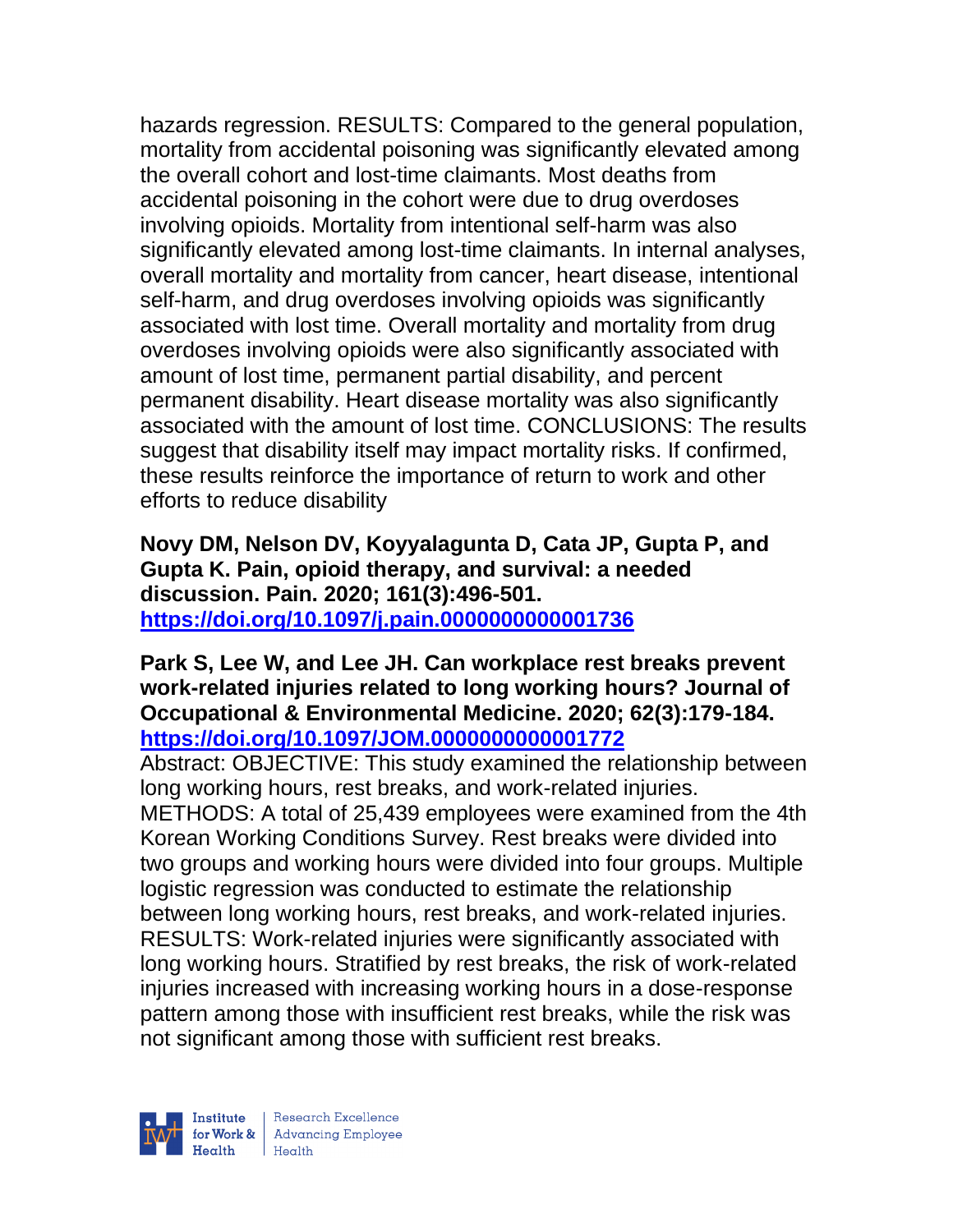hazards regression. RESULTS: Compared to the general population, mortality from accidental poisoning was significantly elevated among the overall cohort and lost-time claimants. Most deaths from accidental poisoning in the cohort were due to drug overdoses involving opioids. Mortality from intentional self-harm was also significantly elevated among lost-time claimants. In internal analyses, overall mortality and mortality from cancer, heart disease, intentional self-harm, and drug overdoses involving opioids was significantly associated with lost time. Overall mortality and mortality from drug overdoses involving opioids were also significantly associated with amount of lost time, permanent partial disability, and percent permanent disability. Heart disease mortality was also significantly associated with the amount of lost time. CONCLUSIONS: The results suggest that disability itself may impact mortality risks. If confirmed, these results reinforce the importance of return to work and other efforts to reduce disability

**Novy DM, Nelson DV, Koyyalagunta D, Cata JP, Gupta P, and Gupta K. Pain, opioid therapy, and survival: a needed discussion. Pain. 2020; 161(3):496-501. <https://doi.org/10.1097/j.pain.0000000000001736>** 

**Park S, Lee W, and Lee JH. Can workplace rest breaks prevent work-related injuries related to long working hours? Journal of Occupational & Environmental Medicine. 2020; 62(3):179-184. <https://doi.org/10.1097/JOM.0000000000001772>** 

Abstract: OBJECTIVE: This study examined the relationship between long working hours, rest breaks, and work-related injuries. METHODS: A total of 25,439 employees were examined from the 4th Korean Working Conditions Survey. Rest breaks were divided into two groups and working hours were divided into four groups. Multiple logistic regression was conducted to estimate the relationship between long working hours, rest breaks, and work-related injuries. RESULTS: Work-related injuries were significantly associated with long working hours. Stratified by rest breaks, the risk of work-related injuries increased with increasing working hours in a dose-response pattern among those with insufficient rest breaks, while the risk was not significant among those with sufficient rest breaks.

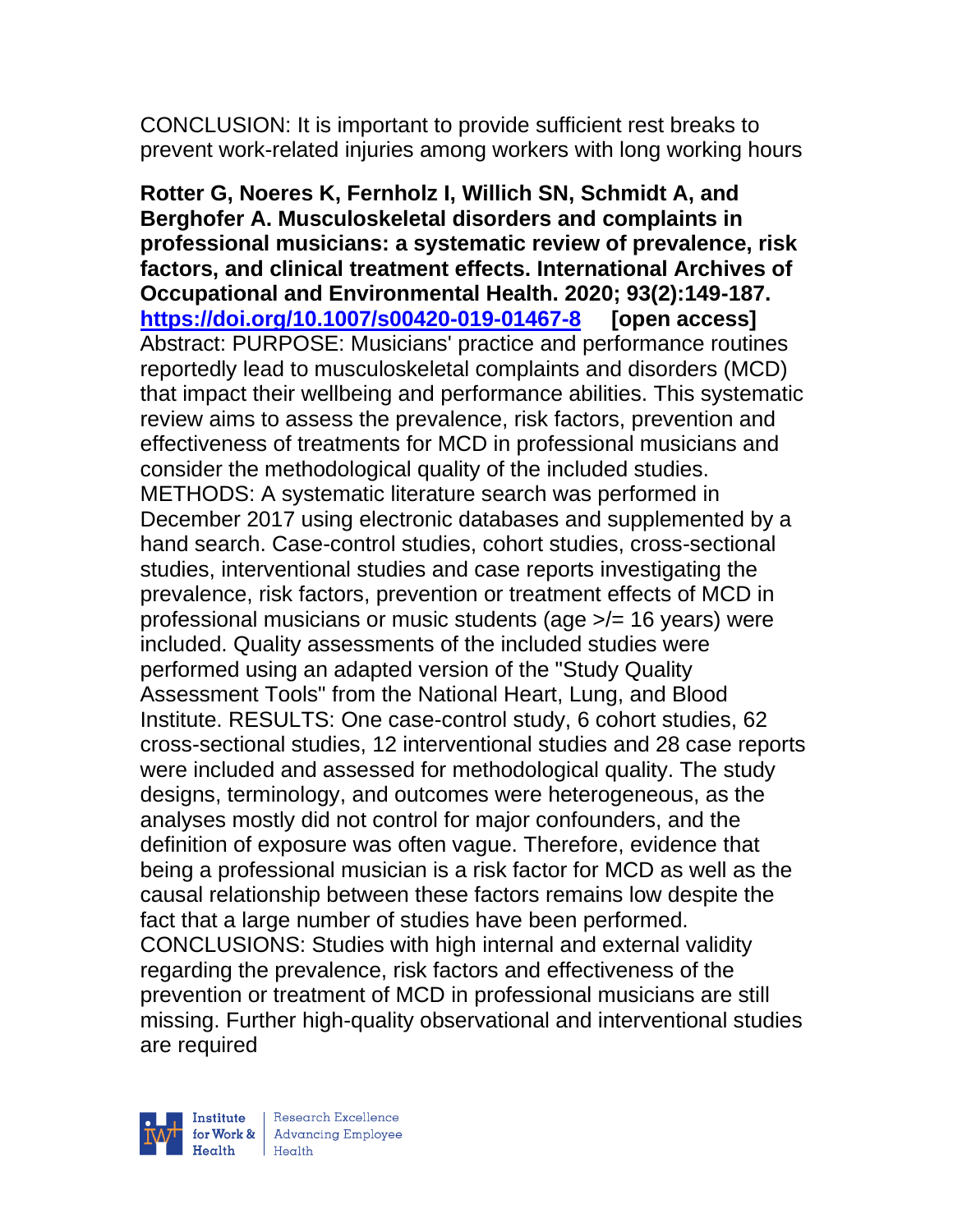CONCLUSION: It is important to provide sufficient rest breaks to prevent work-related injuries among workers with long working hours

**Rotter G, Noeres K, Fernholz I, Willich SN, Schmidt A, and Berghofer A. Musculoskeletal disorders and complaints in professional musicians: a systematic review of prevalence, risk factors, and clinical treatment effects. International Archives of Occupational and Environmental Health. 2020; 93(2):149-187. <https://doi.org/10.1007/s00420-019-01467-8> [open access]** Abstract: PURPOSE: Musicians' practice and performance routines reportedly lead to musculoskeletal complaints and disorders (MCD) that impact their wellbeing and performance abilities. This systematic review aims to assess the prevalence, risk factors, prevention and effectiveness of treatments for MCD in professional musicians and consider the methodological quality of the included studies. METHODS: A systematic literature search was performed in December 2017 using electronic databases and supplemented by a hand search. Case-control studies, cohort studies, cross-sectional studies, interventional studies and case reports investigating the prevalence, risk factors, prevention or treatment effects of MCD in professional musicians or music students (age >/= 16 years) were included. Quality assessments of the included studies were performed using an adapted version of the "Study Quality Assessment Tools" from the National Heart, Lung, and Blood Institute. RESULTS: One case-control study, 6 cohort studies, 62 cross-sectional studies, 12 interventional studies and 28 case reports were included and assessed for methodological quality. The study designs, terminology, and outcomes were heterogeneous, as the analyses mostly did not control for major confounders, and the definition of exposure was often vague. Therefore, evidence that being a professional musician is a risk factor for MCD as well as the causal relationship between these factors remains low despite the fact that a large number of studies have been performed. CONCLUSIONS: Studies with high internal and external validity regarding the prevalence, risk factors and effectiveness of the prevention or treatment of MCD in professional musicians are still missing. Further high-quality observational and interventional studies are required

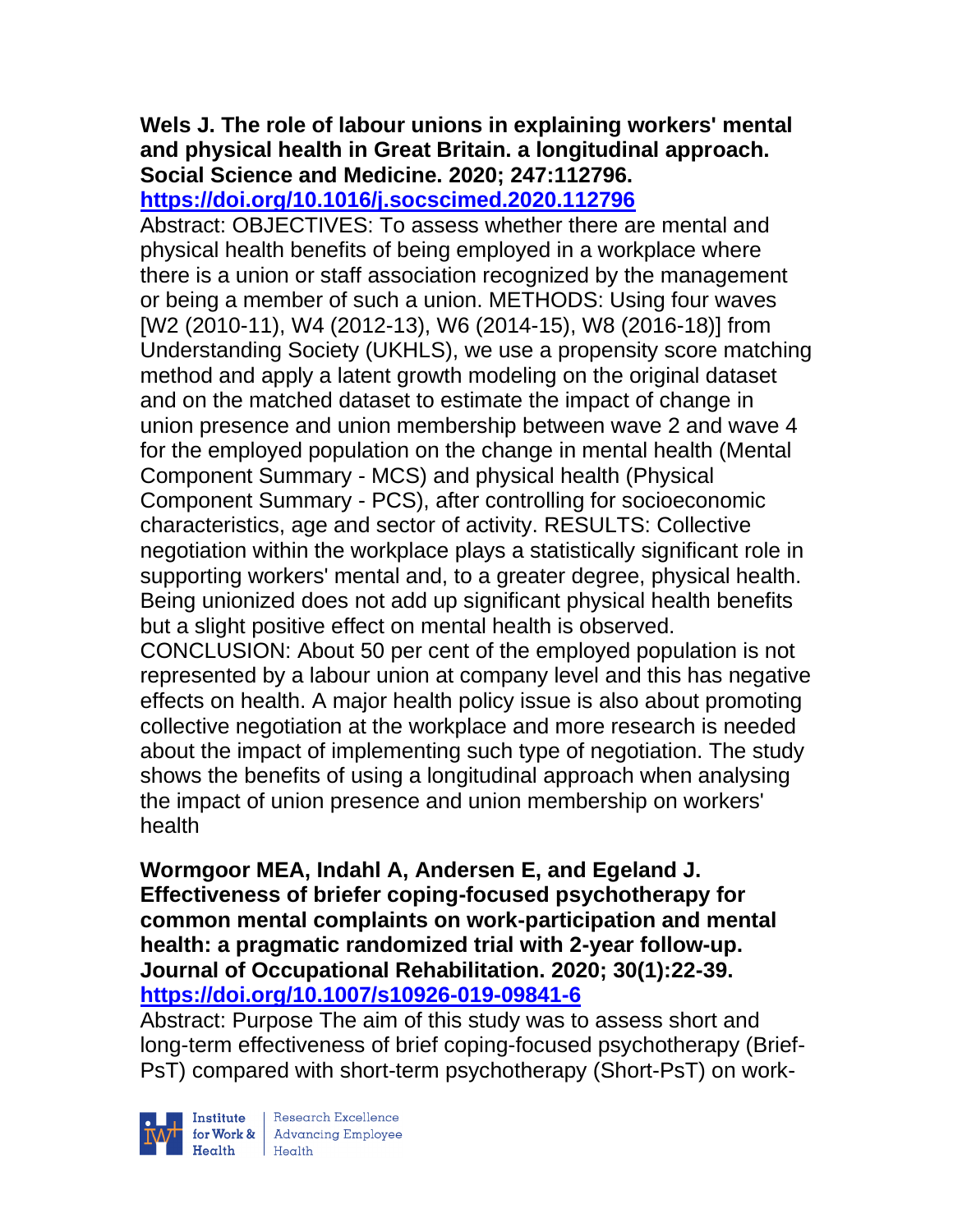# **Wels J. The role of labour unions in explaining workers' mental and physical health in Great Britain. a longitudinal approach. Social Science and Medicine. 2020; 247:112796.**

**<https://doi.org/10.1016/j.socscimed.2020.112796>** 

Abstract: OBJECTIVES: To assess whether there are mental and physical health benefits of being employed in a workplace where there is a union or staff association recognized by the management or being a member of such a union. METHODS: Using four waves [W2 (2010-11), W4 (2012-13), W6 (2014-15), W8 (2016-18)] from Understanding Society (UKHLS), we use a propensity score matching method and apply a latent growth modeling on the original dataset and on the matched dataset to estimate the impact of change in union presence and union membership between wave 2 and wave 4 for the employed population on the change in mental health (Mental Component Summary - MCS) and physical health (Physical Component Summary - PCS), after controlling for socioeconomic characteristics, age and sector of activity. RESULTS: Collective negotiation within the workplace plays a statistically significant role in supporting workers' mental and, to a greater degree, physical health. Being unionized does not add up significant physical health benefits but a slight positive effect on mental health is observed. CONCLUSION: About 50 per cent of the employed population is not represented by a labour union at company level and this has negative effects on health. A major health policy issue is also about promoting collective negotiation at the workplace and more research is needed about the impact of implementing such type of negotiation. The study shows the benefits of using a longitudinal approach when analysing the impact of union presence and union membership on workers' health

**Wormgoor MEA, Indahl A, Andersen E, and Egeland J. Effectiveness of briefer coping-focused psychotherapy for common mental complaints on work-participation and mental health: a pragmatic randomized trial with 2-year follow-up. Journal of Occupational Rehabilitation. 2020; 30(1):22-39. <https://doi.org/10.1007/s10926-019-09841-6>** 

Abstract: Purpose The aim of this study was to assess short and long-term effectiveness of brief coping-focused psychotherapy (Brief-PsT) compared with short-term psychotherapy (Short-PsT) on work-



Institute Research Excellence<br>
for Work & Advancing Employee<br>
Health Health